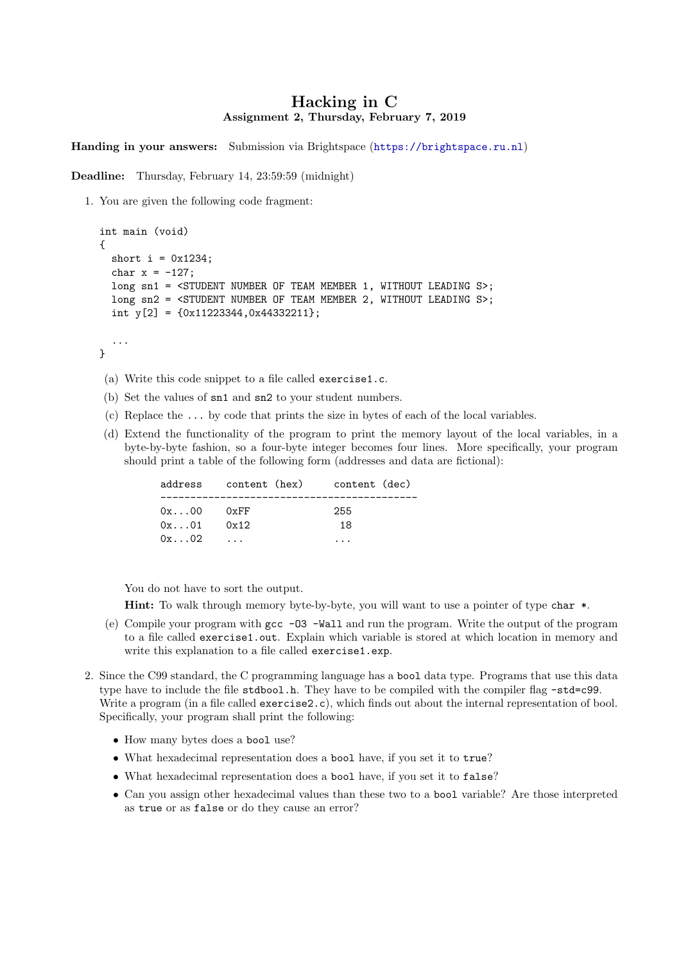## Hacking in C Assignment 2, Thursday, February 7, 2019

Handing in your answers: Submission via Brightspace (<https://brightspace.ru.nl>)

Deadline: Thursday, February 14, 23:59:59 (midnight)

1. You are given the following code fragment:

```
int main (void)
{
 short i = 0x1234;
  char x = -127;
 long sn1 = <STUDENT NUMBER OF TEAM MEMBER 1, WITHOUT LEADING S>;
 long sn2 = <STUDENT NUMBER OF TEAM MEMBER 2, WITHOUT LEADING S>;
  int y[2] = \{0x11223344, 0x44332211\};
```
- ... }
- (a) Write this code snippet to a file called exercise1.c.
- (b) Set the values of sn1 and sn2 to your student numbers.
- (c) Replace the ... by code that prints the size in bytes of each of the local variables.
- (d) Extend the functionality of the program to print the memory layout of the local variables, in a byte-by-byte fashion, so a four-byte integer becomes four lines. More specifically, your program should print a table of the following form (addresses and data are fictional):

|                                 | address content (hex) content (dec) |           |
|---------------------------------|-------------------------------------|-----------|
| $0x \dots 00$<br>$0x \ldots 01$ | 0xFF<br>0x12                        | 255<br>18 |
| $0x \dots 02$                   |                                     |           |

You do not have to sort the output.

Hint: To walk through memory byte-by-byte, you will want to use a pointer of type char \*.

- (e) Compile your program with gcc -O3 -Wall and run the program. Write the output of the program to a file called exercise1.out. Explain which variable is stored at which location in memory and write this explanation to a file called exercise1.exp.
- 2. Since the C99 standard, the C programming language has a bool data type. Programs that use this data type have to include the file stdbool.h. They have to be compiled with the compiler flag -std=c99. Write a program (in a file called exercise2.c), which finds out about the internal representation of bool. Specifically, your program shall print the following:
	- How many bytes does a bool use?
	- What hexadecimal representation does a bool have, if you set it to true?
	- What hexadecimal representation does a bool have, if you set it to false?
	- Can you assign other hexadecimal values than these two to a bool variable? Are those interpreted as true or as false or do they cause an error?